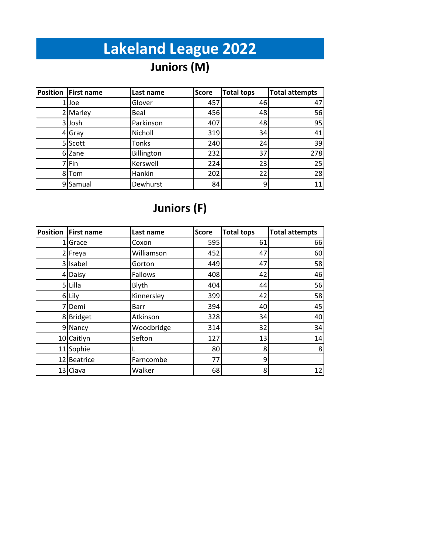# **Lakeland League 2022**

# **Juniors (M)**

| <b>Position</b> | <b>First name</b> | Last name  | Score | <b>Total tops</b> | <b>Total attempts</b> |
|-----------------|-------------------|------------|-------|-------------------|-----------------------|
|                 | 1 Joe             | Glover     | 457   | 46                | 47                    |
|                 | 2 Marley          | Beal       | 456   | 48                | 56                    |
|                 | 3 Josh            | Parkinson  | 407   | 48                | 95                    |
|                 | 4 Gray            | Nicholl    | 319   | 34                | 41                    |
|                 | 5 Scott           | Tonks      | 240   | 24                | 39                    |
|                 | 6 Zane            | Billington | 232   | 37                | 278                   |
|                 | 7 Fin             | Kerswell   | 224   | 23                | 25                    |
|                 | 8Tom              | Hankin     | 202   | 22                | 28                    |
|                 | 9 Samual          | Dewhurst   | 84    | 9                 | 11                    |

#### **Juniors (F)**

| <b>Position</b> | <b>First name</b> | Last name   | <b>Score</b> | <b>Total tops</b> | <b>Total attempts</b> |
|-----------------|-------------------|-------------|--------------|-------------------|-----------------------|
| 1               | Grace             | Coxon       | 595          | 61                | 66                    |
|                 | Freya             | Williamson  | 452          | 47                | 60                    |
| 31              | Isabel            | Gorton      | 449          | 47                | 58                    |
| 4               | Daisy             | Fallows     | 408          | 42                | 46                    |
|                 | 5 Lilla           | Blyth       | 404          | 44                | 56                    |
|                 | 6 Lily            | Kinnersley  | 399          | 42                | 58                    |
| 7               | Demi              | <b>Barr</b> | 394          | 40                | 45                    |
| 8               | <b>Bridget</b>    | Atkinson    | 328          | 34                | 40                    |
|                 | 9 Nancy           | Woodbridge  | 314          | 32                | 34                    |
|                 | 10 Caitlyn        | Sefton      | 127          | 13                | 14                    |
| 11              | Sophie            |             | 80           | 8                 | 8                     |
| 12              | Beatrice          | Farncombe   | 77           | 9                 |                       |
|                 | 13 Ciava          | Walker      | 68           | 8                 | 12                    |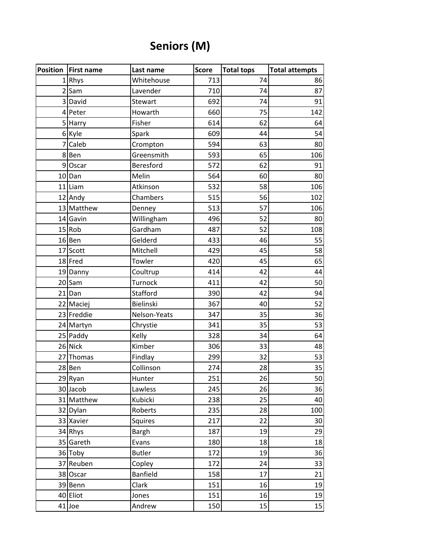### **Seniors (M)**

| <b>Position   First name</b> | Last name       | <b>Score</b> | <b>Total tops</b> | <b>Total attempts</b> |
|------------------------------|-----------------|--------------|-------------------|-----------------------|
| 1Rhys                        | Whitehouse      | 713          | 74                | 86                    |
| $2$ Sam                      | Lavender        | 710          | 74                | 87                    |
| 3 David                      | Stewart         | 692          | 74                | 91                    |
| 4 Peter                      | Howarth         | 660          | 75                | 142                   |
| 5 Harry                      | Fisher          | 614          | 62                | 64                    |
| 6 Kyle                       | Spark           | 609          | 44                | 54                    |
| 7 Caleb                      | Crompton        | 594          | 63                | 80                    |
| 8Ben                         | Greensmith      | 593          | 65                | 106                   |
| 9 Oscar                      | Beresford       | 572          | 62                | 91                    |
| $10$ Dan                     | Melin           | 564          | 60                | 80                    |
| 11 Liam                      | Atkinson        | 532          | 58                | 106                   |
| 12 Andy                      | Chambers        | 515          | 56                | 102                   |
| 13 Matthew                   | Denney          | 513          | 57                | 106                   |
| 14 Gavin                     | Willingham      | 496          | 52                | 80                    |
| $15$ Rob                     | Gardham         | 487          | 52                | 108                   |
| 16 Ben                       | Gelderd         | 433          | 46                | 55                    |
| 17 Scott                     | Mitchell        | 429          | 45                | 58                    |
| 18 Fred                      | Towler          | 420          | 45                | 65                    |
| 19 Danny                     | Coultrup        | 414          | 42                | 44                    |
| 20 Sam                       | Turnock         | 411          | 42                | 50                    |
| 21 Dan                       | Stafford        | 390          | 42                | 94                    |
| 22 Maciej                    | Bielinski       | 367          | 40                | 52                    |
| 23 Freddie                   | Nelson-Yeats    | 347          | 35                | 36                    |
| 24 Martyn                    | Chrystie        | 341          | 35                | 53                    |
| 25 Paddy                     | Kelly           | 328          | 34                | 64                    |
| 26 Nick                      | Kimber          | 306          | 33                | 48                    |
| 27 Thomas                    | Findlay         | 299          | 32                | 53                    |
| 28 Ben                       | Collinson       | 274          | 28                | 35                    |
| 29 Ryan                      | Hunter          | 251          | 26                | 50                    |
| 30 Jacob                     | Lawless         | 245          | 26                | 36                    |
| 31 Matthew                   | Kubicki         | 238          | 25                | 40                    |
| 32 Dylan                     | Roberts         | 235          | 28                | 100                   |
| 33 Xavier                    | Squires         | 217          | 22                | 30                    |
| 34 Rhys                      | <b>Bargh</b>    | 187          | 19                | 29                    |
| 35 Gareth                    | Evans           | 180          | 18                | 18                    |
| 36 Toby                      | <b>Butler</b>   | 172          | 19                | 36                    |
| 37 Reuben                    | Copley          | 172          | 24                | 33                    |
| 38 Oscar                     | <b>Banfield</b> | 158          | 17                | 21                    |
| 39 Benn                      | Clark           | 151          | 16                | 19                    |
| 40 Eliot                     | Jones           | 151          | 16                | 19                    |
| $41$ Joe                     | Andrew          | 150          | 15                | 15                    |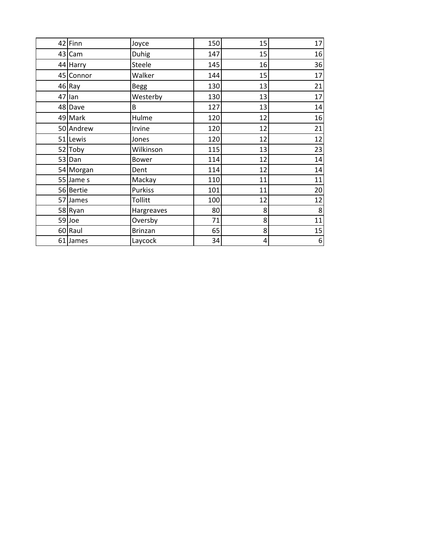| 42 Finn   | Joyce        | 150 | 15 | 17       |
|-----------|--------------|-----|----|----------|
| 43 Cam    | Duhig        | 147 | 15 | 16       |
| 44 Harry  | Steele       | 145 | 16 | 36       |
| 45 Connor | Walker       | 144 | 15 | 17       |
| 46 Ray    | <b>Begg</b>  | 130 | 13 | 21       |
| 47 lan    | Westerby     | 130 | 13 | 17       |
| 48 Dave   | B            | 127 | 13 | 14       |
| 49 Mark   | Hulme        | 120 | 12 | 16       |
| 50 Andrew | Irvine       | 120 | 12 | 21       |
| 51 Lewis  | Jones        | 120 | 12 | 12       |
| 52 Toby   | Wilkinson    | 115 | 13 | 23       |
| 53 Dan    | <b>Bower</b> | 114 | 12 | 14       |
| 54 Morgan | Dent         | 114 | 12 | 14       |
| 55 Jame s | Mackay       | 110 | 11 | 11       |
| 56 Bertie | Purkiss      | 101 | 11 | 20       |
| 57 James  | Tollitt      | 100 | 12 | 12       |
| 58 Ryan   | Hargreaves   | 80  | 8  | $\bf 8$  |
| 59 Joe    | Oversby      | 71  | 8  | 11       |
| 60 Raul   | Brinzan      | 65  | 8  | 15       |
| 61 James  | Laycock      | 34  | 4  | $6 \mid$ |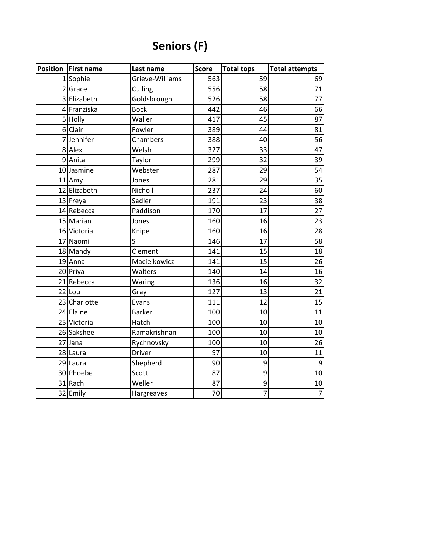## **Seniors (F)**

| Position   First name | Last name       | Score | <b>Total tops</b> | <b>Total attempts</b> |
|-----------------------|-----------------|-------|-------------------|-----------------------|
| 1 Sophie              | Grieve-Williams | 563   | 59                | 69                    |
| 2 Grace               | Culling         | 556   | 58                | 71                    |
| 3 Elizabeth           | Goldsbrough     | 526   | 58                | 77                    |
| 4 Franziska           | <b>Bock</b>     | 442   | 46                | 66                    |
| 5 Holly               | Waller          | 417   | 45                | 87                    |
| 6 Clair               | Fowler          | 389   | 44                | 81                    |
| 7 Jennifer            | Chambers        | 388   | 40                | 56                    |
| 8 Alex                | Welsh           | 327   | 33                | 47                    |
| 9 Anita               | Taylor          | 299   | 32                | 39                    |
| 10 Jasmine            | Webster         | 287   | 29                | 54                    |
| 11 Amy                | Jones           | 281   | 29                | 35                    |
| 12 Elizabeth          | Nicholl         | 237   | 24                | 60                    |
| 13 Freya              | Sadler          | 191   | 23                | 38                    |
| 14 Rebecca            | Paddison        | 170   | 17                | 27                    |
| 15 Marian             | Jones           | 160   | 16                | 23                    |
| 16 Victoria           | Knipe           | 160   | 16                | 28                    |
| 17 Naomi              | S               | 146   | 17                | 58                    |
| 18 Mandy              | Clement         | 141   | 15                | 18                    |
| 19 Anna               | Maciejkowicz    | 141   | 15                | 26                    |
| 20 Priya              | Walters         | 140   | 14                | 16                    |
| 21 Rebecca            | Waring          | 136   | 16                | 32                    |
| $22$ Lou              | Gray            | 127   | 13                | 21                    |
| 23 Charlotte          | Evans           | 111   | 12                | 15                    |
| 24 Elaine             | <b>Barker</b>   | 100   | 10                | 11                    |
| 25 Victoria           | Hatch           | 100   | 10                | 10                    |
| 26 Sakshee            | Ramakrishnan    | 100   | 10                | 10                    |
| 27 Jana               | Rychnovsky      | 100   | 10                | 26                    |
| 28 Laura              | Driver          | 97    | 10                | 11                    |
| 29 Laura              | Shepherd        | 90    | 9                 | $\overline{9}$        |
| 30 Phoebe             | Scott           | 87    | 9                 | 10                    |
| 31 Rach               | Weller          | 87    | 9                 | 10                    |
| 32 Emily              | Hargreaves      | 70    | $\overline{7}$    | $\overline{7}$        |